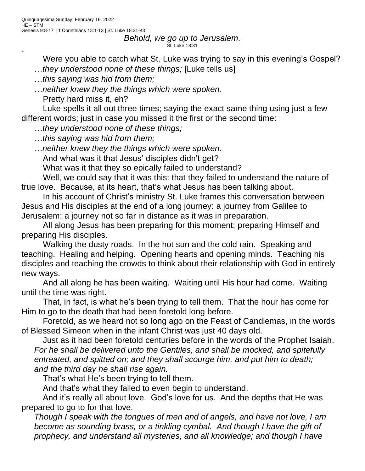+

## *Behold, we go up to Jerusalem.* St. Luke 18:31

Were you able to catch what St. Luke was trying to say in this evening's Gospel? *they understood none of these things;* [Luke tells us]

*this saying was hid from them;*

*neither knew they the things which were spoken.*

Pretty hard miss it, eh?

Luke spells it all out three times; saying the exact same thing using just a few different words; just in case you missed it the first or the second time:

*they understood none of these things;*

*this saying was hid from them;*

*neither knew they the things which were spoken.*

And what was it that Jesus' disciples didn't get?

What was it that they so epically failed to understand?

Well, we could say that it was this: that they failed to understand the nature of true love. Because, at its heart, that's what Jesus has been talking about.

In his account of Christ's ministry St. Luke frames this conversation between Jesus and His disciples at the end of a long journey: a journey from Galilee to Jerusalem; a journey not so far in distance as it was in preparation.

All along Jesus has been preparing for this moment; preparing Himself and preparing His disciples.

Walking the dusty roads. In the hot sun and the cold rain. Speaking and teaching. Healing and helping. Opening hearts and opening minds. Teaching his disciples and teaching the crowds to think about their relationship with God in entirely new ways.

And all along he has been waiting. Waiting until His hour had come. Waiting until the time was right.

That, in fact, is what he's been trying to tell them. That the hour has come for Him to go to the death that had been foretold long before.

Foretold, as we heard not so long ago on the Feast of Candlemas, in the words of Blessed Simeon when in the infant Christ was just 40 days old.

Just as it had been foretold centuries before in the words of the Prophet Isaiah. *For he shall be delivered unto the Gentiles, and shall be mocked, and spitefully entreated, and spitted on; and they shall scourge him, and put him to death; and the third day he shall rise again.*

That's what He's been trying to tell them.

And that's what they failed to even begin to understand.

And it's really all about love. God's love for us. And the depths that He was prepared to go to for that love.

*Though I speak with the tongues of men and of angels, and have not love, I am become as sounding brass, or a tinkling cymbal. And though I have the gift of prophecy, and understand all mysteries, and all knowledge; and though I have*